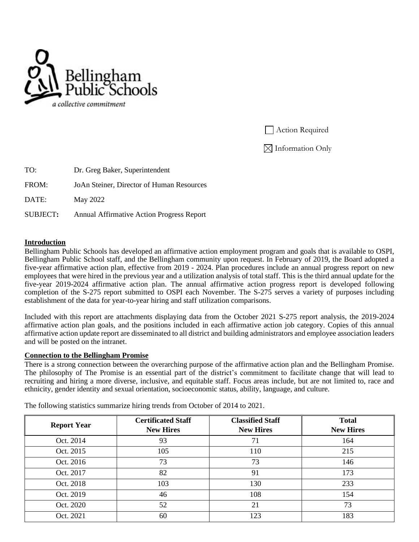

**Action Required** 

 $\boxtimes$  Information Only

| TO:      | Dr. Greg Baker, Superintendent                   |
|----------|--------------------------------------------------|
| FROM:    | JoAn Steiner, Director of Human Resources        |
| DATE:    | May 2022                                         |
| SUBJECT: | <b>Annual Affirmative Action Progress Report</b> |

#### **Introduction**

Bellingham Public Schools has developed an affirmative action employment program and goals that is available to OSPI, Bellingham Public School staff, and the Bellingham community upon request. In February of 2019, the Board adopted a five-year affirmative action plan, effective from 2019 - 2024. Plan procedures include an annual progress report on new employees that were hired in the previous year and a utilization analysis of total staff. This is the third annual update for the five-year 2019-2024 affirmative action plan. The annual affirmative action progress report is developed following completion of the S-275 report submitted to OSPI each November. The S-275 serves a variety of purposes including establishment of the data for year-to-year hiring and staff utilization comparisons.

Included with this report are attachments displaying data from the October 2021 S-275 report analysis, the 2019-2024 affirmative action plan goals, and the positions included in each affirmative action job category. Copies of this annual affirmative action update report are disseminated to all district and building administrators and employee association leaders and will be posted on the intranet.

#### **Connection to the Bellingham Promise**

There is a strong connection between the overarching purpose of the affirmative action plan and the Bellingham Promise. The philosophy of The Promise is an essential part of the district's commitment to facilitate change that will lead to recruiting and hiring a more diverse, inclusive, and equitable staff. Focus areas include, but are not limited to, race and ethnicity, gender identity and sexual orientation, socioeconomic status, ability, language, and culture.

| <b>Report Year</b> | <b>Certificated Staff</b><br><b>New Hires</b> | <b>Classified Staff</b><br><b>New Hires</b> | <b>Total</b><br><b>New Hires</b> |  |
|--------------------|-----------------------------------------------|---------------------------------------------|----------------------------------|--|
|                    |                                               |                                             |                                  |  |
| Oct. 2014          | 93                                            | 71                                          | 164                              |  |
| Oct. 2015          | 105                                           | 110                                         | 215                              |  |
| Oct. 2016          | 73                                            | 73                                          | 146                              |  |
| Oct. 2017          | 82                                            | 91                                          | 173                              |  |
| Oct. 2018          | 103                                           | 130                                         | 233                              |  |
| Oct. 2019          | 46                                            | 108                                         | 154                              |  |
| Oct. 2020          | 52                                            | 21                                          | 73                               |  |
| Oct. 2021          | 60                                            | 123                                         | 183                              |  |

The following statistics summarize hiring trends from October of 2014 to 2021.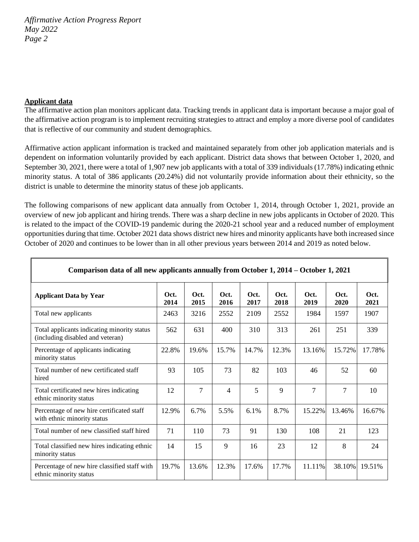## **Applicant data**

The affirmative action plan monitors applicant data. Tracking trends in applicant data is important because a major goal of the affirmative action program is to implement recruiting strategies to attract and employ a more diverse pool of candidates that is reflective of our community and student demographics.

Affirmative action applicant information is tracked and maintained separately from other job application materials and is dependent on information voluntarily provided by each applicant. District data shows that between October 1, 2020, and September 30, 2021, there were a total of 1,907 new job applicants with a total of 339 individuals (17.78%) indicating ethnic minority status. A total of 386 applicants (20.24%) did not voluntarily provide information about their ethnicity, so the district is unable to determine the minority status of these job applicants.

The following comparisons of new applicant data annually from October 1, 2014, through October 1, 2021, provide an overview of new job applicant and hiring trends. There was a sharp decline in new jobs applicants in October of 2020. This is related to the impact of the COVID-19 pandemic during the 2020-21 school year and a reduced number of employment opportunities during that time. October 2021 data shows district new hires and minority applicants have both increased since October of 2020 and continues to be lower than in all other previous years between 2014 and 2019 as noted below.

**Comparison data of all new applicants annually from October 1, 2014 – October 1, 2021**

|                                                                                 | . .          |              |              |              |              |              |              |              |
|---------------------------------------------------------------------------------|--------------|--------------|--------------|--------------|--------------|--------------|--------------|--------------|
| <b>Applicant Data by Year</b>                                                   | Oct.<br>2014 | Oct.<br>2015 | Oct.<br>2016 | Oct.<br>2017 | Oct.<br>2018 | Oct.<br>2019 | Oct.<br>2020 | Oct.<br>2021 |
| Total new applicants                                                            | 2463         | 3216         | 2552         | 2109         | 2552         | 1984         | 1597         | 1907         |
| Total applicants indicating minority status<br>(including disabled and veteran) | 562          | 631          | 400          | 310          | 313          | 261          | 251          | 339          |
| Percentage of applicants indicating<br>minority status                          | 22.8%        | 19.6%        | 15.7%        | 14.7%        | 12.3%        | 13.16%       | 15.72%       | 17.78%       |
| Total number of new certificated staff<br>hired                                 | 93           | 105          | 73           | 82           | 103          | 46           | 52           | 60           |
| Total certificated new hires indicating<br>ethnic minority status               | 12           | 7            | 4            | 5            | 9            | 7            | 7            | 10           |
| Percentage of new hire certificated staff<br>with ethnic minority status        | 12.9%        | 6.7%         | 5.5%         | 6.1%         | 8.7%         | 15.22%       | 13.46%       | 16.67%       |
| Total number of new classified staff hired                                      | 71           | 110          | 73           | 91           | 130          | 108          | 21           | 123          |
| Total classified new hires indicating ethnic<br>minority status                 | 14           | 15           | 9            | 16           | 23           | 12           | 8            | 24           |
| Percentage of new hire classified staff with<br>ethnic minority status          | 19.7%        | 13.6%        | 12.3%        | 17.6%        | 17.7%        | 11.11%       | 38.10%       | 19.51%       |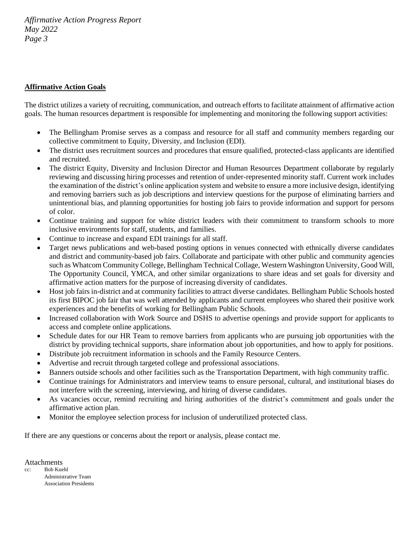## **Affirmative Action Goals**

The district utilizes a variety of recruiting, communication, and outreach efforts to facilitate attainment of affirmative action goals. The human resources department is responsible for implementing and monitoring the following support activities:

- The Bellingham Promise serves as a compass and resource for all staff and community members regarding our collective commitment to Equity, Diversity, and Inclusion (EDI).
- The district uses recruitment sources and procedures that ensure qualified, protected-class applicants are identified and recruited.
- The district Equity, Diversity and Inclusion Director and Human Resources Department collaborate by regularly reviewing and discussing hiring processes and retention of under-represented minority staff. Current work includes the examination of the district's online application system and website to ensure a more inclusive design, identifying and removing barriers such as job descriptions and interview questions for the purpose of eliminating barriers and unintentional bias, and planning opportunities for hosting job fairs to provide information and support for persons of color.
- Continue training and support for white district leaders with their commitment to transform schools to more inclusive environments for staff, students, and families.
- Continue to increase and expand EDI trainings for all staff.
- Target news publications and web-based posting options in venues connected with ethnically diverse candidates and district and community-based job fairs. Collaborate and participate with other public and community agencies such as Whatcom Community College, Bellingham Technical Collage, Western Washington University, Good Will, The Opportunity Council, YMCA, and other similar organizations to share ideas and set goals for diversity and affirmative action matters for the purpose of increasing diversity of candidates.
- Host job fairs in-district and at community facilities to attract diverse candidates. Bellingham Public Schools hosted its first BIPOC job fair that was well attended by applicants and current employees who shared their positive work experiences and the benefits of working for Bellingham Public Schools.
- Increased collaboration with Work Source and DSHS to advertise openings and provide support for applicants to access and complete online applications.
- Schedule dates for our HR Team to remove barriers from applicants who are pursuing job opportunities with the district by providing technical supports, share information about job opportunities, and how to apply for positions.
- Distribute job recruitment information in schools and the Family Resource Centers.
- Advertise and recruit through targeted college and professional associations.
- Banners outside schools and other facilities such as the Transportation Department, with high community traffic.
- Continue trainings for Administrators and interview teams to ensure personal, cultural, and institutional biases do not interfere with the screening, interviewing, and hiring of diverse candidates.
- As vacancies occur, remind recruiting and hiring authorities of the district's commitment and goals under the affirmative action plan.
- Monitor the employee selection process for inclusion of underutilized protected class.

If there are any questions or concerns about the report or analysis, please contact me.

Attachments

cc: Bob Kuehl Administrative Team Association Presidents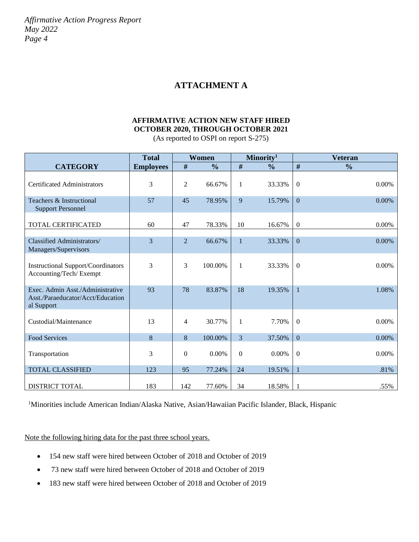# **ATTACHMENT A**

# **AFFIRMATIVE ACTION NEW STAFF HIRED OCTOBER 2020, THROUGH OCTOBER 2021**

| (As reported to OSPI on report S-275) |  |
|---------------------------------------|--|
|                                       |  |

|                                                                                     | <b>Total</b>     |                  | <b>Women</b>  |                  | Minority <sup>1</sup> |                  | <b>Veteran</b> |
|-------------------------------------------------------------------------------------|------------------|------------------|---------------|------------------|-----------------------|------------------|----------------|
| <b>CATEGORY</b>                                                                     | <b>Employees</b> | #                | $\frac{0}{0}$ | #                | $\frac{0}{0}$         | #                | $\frac{0}{0}$  |
| <b>Certificated Administrators</b>                                                  | 3                | $\overline{c}$   | 66.67%        | $\mathbf{1}$     | 33.33%                | $\overline{0}$   | 0.00%          |
| Teachers & Instructional<br><b>Support Personnel</b>                                | 57               | 45               | 78.95%        | 9                | 15.79%                | $\overline{0}$   | 0.00%          |
| TOTAL CERTIFICATED                                                                  | 60               | 47               | 78.33%        | 10               | 16.67%                | $\mathbf{0}$     | 0.00%          |
| <b>Classified Administrators/</b><br>Managers/Supervisors                           | 3                | $\overline{2}$   | 66.67%        | $\mathbf{1}$     | 33.33%                | $\mathbf{0}$     | 0.00%          |
| <b>Instructional Support/Coordinators</b><br>Accounting/Tech/Exempt                 | 3                | 3                | 100.00%       | $\mathbf{1}$     | 33.33%                | $\boldsymbol{0}$ | 0.00%          |
| Exec. Admin Asst./Administrative<br>Asst./Paraeducator/Acct/Education<br>al Support | 93               | 78               | 83.87%        | 18               | 19.35%                | $\overline{1}$   | 1.08%          |
| Custodial/Maintenance                                                               | 13               | 4                | 30.77%        | $\mathbf{1}$     | 7.70%                 | $\overline{0}$   | 0.00%          |
| <b>Food Services</b>                                                                | 8                | $\bf 8$          | 100.00%       | 3                | 37.50%                | $\overline{0}$   | 0.00%          |
| Transportation                                                                      | 3                | $\boldsymbol{0}$ | 0.00%         | $\boldsymbol{0}$ | 0.00%                 | $\boldsymbol{0}$ | 0.00%          |
| <b>TOTAL CLASSIFIED</b>                                                             | 123              | 95               | 77.24%        | 24               | 19.51%                | 1                | .81%           |
| <b>DISTRICT TOTAL</b>                                                               | 183              | 142              | 77.60%        | 34               | 18.58%                | -1               | .55%           |

<sup>1</sup>Minorities include American Indian/Alaska Native, Asian/Hawaiian Pacific Islander, Black, Hispanic

Note the following hiring data for the past three school years.

- 154 new staff were hired between October of 2018 and October of 2019
- 73 new staff were hired between October of 2018 and October of 2019
- 183 new staff were hired between October of 2018 and October of 2019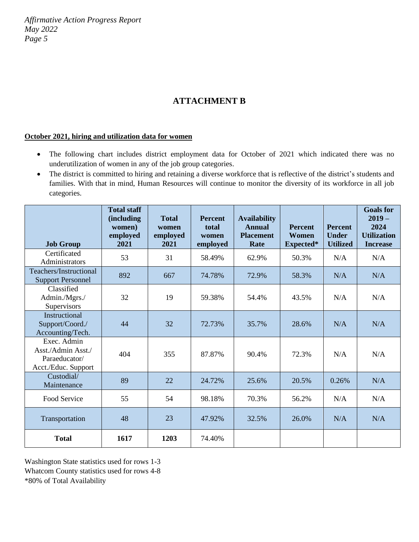# **ATTACHMENT B**

#### **October 2021, hiring and utilization data for women**

- The following chart includes district employment data for October of 2021 which indicated there was no underutilization of women in any of the job group categories.
- The district is committed to hiring and retaining a diverse workforce that is reflective of the district's students and families. With that in mind, Human Resources will continue to monitor the diversity of its workforce in all job categories.

|                                                                           | <b>Total staff</b><br>(including<br>women)<br>employed | <b>Total</b><br>women<br>employed | <b>Percent</b><br>total<br>women | <b>Availability</b><br><b>Annual</b><br><b>Placement</b> | <b>Percent</b><br>Women | <b>Percent</b><br><b>Under</b> | <b>Goals</b> for<br>$2019-$<br>2024<br><b>Utilization</b> |
|---------------------------------------------------------------------------|--------------------------------------------------------|-----------------------------------|----------------------------------|----------------------------------------------------------|-------------------------|--------------------------------|-----------------------------------------------------------|
| <b>Job Group</b>                                                          | 2021                                                   | 2021                              | employed                         | Rate                                                     | Expected*               | <b>Utilized</b>                | <b>Increase</b>                                           |
| Certificated<br>Administrators                                            | 53                                                     | 31                                | 58.49%                           | 62.9%                                                    | 50.3%                   | N/A                            | N/A                                                       |
| Teachers/Instructional<br><b>Support Personnel</b>                        | 892                                                    | 667                               | 74.78%                           | 72.9%                                                    | 58.3%                   | N/A                            | N/A                                                       |
| Classified<br>Admin./Mgrs./<br>Supervisors                                | 32                                                     | 19                                | 59.38%                           | 54.4%                                                    | 43.5%                   | N/A                            | N/A                                                       |
| Instructional<br>Support/Coord./<br>Accounting/Tech.                      | 44                                                     | 32                                | 72.73%                           | 35.7%                                                    | 28.6%                   | N/A                            | N/A                                                       |
| Exec. Admin<br>Asst./Admin Asst./<br>Paraeducator/<br>Acct./Educ. Support | 404                                                    | 355                               | 87.87%                           | 90.4%                                                    | 72.3%                   | N/A                            | N/A                                                       |
| Custodial/<br>Maintenance                                                 | 89                                                     | 22                                | 24.72%                           | 25.6%                                                    | 20.5%                   | 0.26%                          | N/A                                                       |
| Food Service                                                              | 55                                                     | 54                                | 98.18%                           | 70.3%                                                    | 56.2%                   | N/A                            | N/A                                                       |
| Transportation                                                            | 48                                                     | 23                                | 47.92%                           | 32.5%                                                    | 26.0%                   | N/A                            | N/A                                                       |
| <b>Total</b>                                                              | 1617                                                   | 1203                              | 74.40%                           |                                                          |                         |                                |                                                           |

Washington State statistics used for rows 1-3 Whatcom County statistics used for rows 4-8 \*80% of Total Availability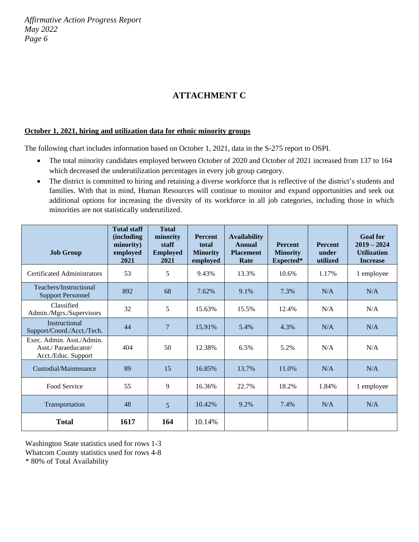# **ATTACHMENT C**

#### **October 1, 2021, hiring and utilization data for ethnic minority groups**

The following chart includes information based on October 1, 2021, data in the S-275 report to OSPI.

- The total minority candidates employed between October of 2020 and October of 2021 increased from 137 to 164 which decreased the underutilization percentages in every job group category.
- The district is committed to hiring and retaining a diverse workforce that is reflective of the district's students and families. With that in mind, Human Resources will continue to monitor and expand opportunities and seek out additional options for increasing the diversity of its workforce in all job categories, including those in which minorities are not statistically underutilized.

| <b>Job Group</b>                                                        | <b>Total staff</b><br>(including<br>minority)<br>employed<br>2021 | <b>Total</b><br>minority<br>staff<br><b>Employed</b><br>2021 | <b>Percent</b><br>total<br><b>Minority</b><br>employed | <b>Availability</b><br>Annual<br><b>Placement</b><br>Rate | <b>Percent</b><br><b>Minority</b><br>Expected* | <b>Percent</b><br>under<br>utilized | <b>Goal</b> for<br>$2019 - 2024$<br><b>Utilization</b><br><b>Increase</b> |
|-------------------------------------------------------------------------|-------------------------------------------------------------------|--------------------------------------------------------------|--------------------------------------------------------|-----------------------------------------------------------|------------------------------------------------|-------------------------------------|---------------------------------------------------------------------------|
| <b>Certificated Administrators</b>                                      | 53                                                                | 5                                                            | 9.43%                                                  | 13.3%                                                     | 10.6%                                          | 1.17%                               | 1 employee                                                                |
| Teachers/Instructional<br><b>Support Personnel</b>                      | 892                                                               | 68                                                           | 7.62%                                                  | 9.1%                                                      | 7.3%                                           | N/A                                 | N/A                                                                       |
| Classified<br>Admin./Mgrs./Supervisors                                  | 32                                                                | 5                                                            | 15.63%                                                 | 15.5%                                                     | 12.4%                                          | N/A                                 | N/A                                                                       |
| Instructional<br>Support/Coord./Acct./Tech.                             | 44                                                                | $\overline{7}$                                               | 15.91%                                                 | 5.4%                                                      | 4.3%                                           | N/A                                 | N/A                                                                       |
| Exec. Admin. Asst./Admin.<br>Asst./Paraeducator/<br>Acct./Educ. Support | 404                                                               | 50                                                           | 12.38%                                                 | 6.5%                                                      | 5.2%                                           | N/A                                 | N/A                                                                       |
| Custodial/Maintenance                                                   | 89                                                                | 15                                                           | 16.85%                                                 | 13.7%                                                     | 11.0%                                          | N/A                                 | N/A                                                                       |
| Food Service                                                            | 55                                                                | 9                                                            | 16.36%                                                 | 22.7%                                                     | 18.2%                                          | 1.84%                               | 1 employee                                                                |
| Transportation                                                          | 48                                                                | 5                                                            | 10.42%                                                 | 9.2%                                                      | 7.4%                                           | N/A                                 | N/A                                                                       |
| <b>Total</b>                                                            | 1617                                                              | 164                                                          | 10.14%                                                 |                                                           |                                                |                                     |                                                                           |

Washington State statistics used for rows 1-3

Whatcom County statistics used for rows 4-8

\* 80% of Total Availability